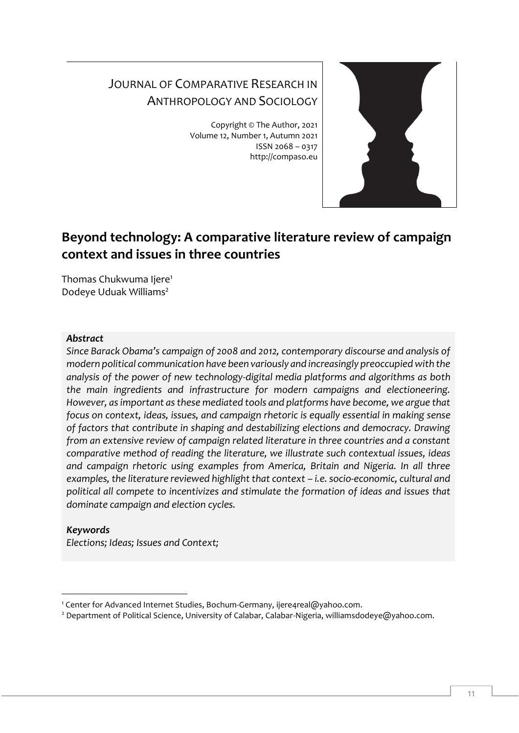# JOURNAL OF COMPARATIVE RESEARCH IN ANTHROPOLOGY AND SOCIOLOGY

Copyright © The Author, 2021 Volume 12, Number 1, Autumn 2021 ISSN 2068 – 0317 http://compaso.eu



## **Beyond technology: A comparative literature review of campaign context and issues in three countries**

Thomas Chukwuma Ijere<sup>1</sup> Dodeye Uduak Williams<sup>2</sup>

#### *Abstract*

*Since Barack Obama's campaign of 2008 and 2012, contemporary discourse and analysis of modern political communication have been variously and increasingly preoccupied with the analysis of the power of new technology-digital media platforms and algorithms as both the main ingredients and infrastructure for modern campaigns and electioneering. However, as important as these mediated tools and platforms have become, we argue that focus on context, ideas, issues, and campaign rhetoric is equally essential in making sense of factors that contribute in shaping and destabilizing elections and democracy. Drawing from an extensive review of campaign related literature in three countries and a constant comparative method of reading the literature, we illustrate such contextual issues, ideas and campaign rhetoric using examples from America, Britain and Nigeria. In all three examples, the literature reviewed highlight that context – i.e. socio-economic, cultural and political all compete to incentivizes and stimulate the formation of ideas and issues that dominate campaign and election cycles.*

#### *Keywords*

*Elections; Ideas; Issues and Context;*

<sup>&</sup>lt;sup>1</sup> Center for Advanced Internet Studies, Bochum-Germany, [ijere4real@yahoo.com.](mailto:ijere4real@yahoo.com)

<sup>&</sup>lt;sup>2</sup> Department of Political Science, University of Calabar, Calabar-Nigeria[, williamsdodeye@yahoo.com.](mailto:williamsdodeye@yahoo.com)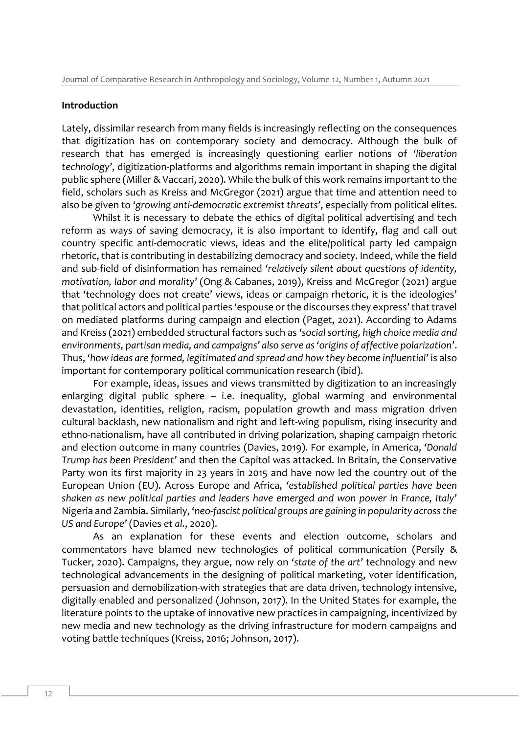#### **Introduction**

Lately, dissimilar research from many fields is increasingly reflecting on the consequences that digitization has on contemporary society and democracy. Although the bulk of research that has emerged is increasingly questioning earlier notions of *'liberation technology'*, digitization-platforms and algorithms remain important in shaping the digital public sphere (Miller & Vaccari, 2020). While the bulk of this work remains important to the field, scholars such as Kreiss and McGregor (2021) argue that time and attention need to also be given to *'growing anti-democratic extremist threats'*, especially from political elites.

Whilst it is necessary to debate the ethics of digital political advertising and tech reform as ways of saving democracy, it is also important to identify, flag and call out country specific anti-democratic views, ideas and the elite/political party led campaign rhetoric, that is contributing in destabilizing democracy and society. Indeed, while the field and sub-field of disinformation has remained *'relatively silent about questions of identity, motivation, labor and morality'* (Ong & Cabanes, 2019), Kreiss and McGregor (2021) argue that 'technology does not create' views, ideas or campaign rhetoric, it is the ideologies' that political actors and political parties 'espouse or the discourses they express' that travel on mediated platforms during campaign and election (Paget, 2021). According to Adams and Kreiss (2021) embedded structural factors such as *'social sorting, high choice media and environments, partisan media, and campaigns' also serve as 'origins of affective polarization*'. Thus, *'how ideas are formed, legitimated and spread and how they become influential'* is also important for contemporary political communication research (ibid).

For example, ideas, issues and views transmitted by digitization to an increasingly enlarging digital public sphere – i.e. inequality, global warming and environmental devastation, identities, religion, racism, population growth and mass migration driven cultural backlash, new nationalism and right and left-wing populism, rising insecurity and ethno-nationalism, have all contributed in driving polarization, shaping campaign rhetoric and election outcome in many countries (Davies, 2019). For example, in America, *'Donald Trump has been President'* and then the Capitol was attacked. In Britain, the Conservative Party won its first majority in 23 years in 2015 and have now led the country out of the European Union (EU). Across Europe and Africa, *'established political parties have been shaken as new political parties and leaders have emerged and won power in France, Italy'* Nigeria and Zambia. Similarly, *'neo-fascist political groups are gaining in popularity across the US and Europe'* (Davies *et al.*, 2020).

As an explanation for these events and election outcome, scholars and commentators have blamed new technologies of political communication (Persily & Tucker, 2020). Campaigns, they argue, now rely on *'state of the art'* technology and new technological advancements in the designing of political marketing, voter identification, persuasion and demobilization-with strategies that are data driven, technology intensive, digitally enabled and personalized (Johnson, 2017). In the United States for example, the literature points to the uptake of innovative new practices in campaigning, incentivized by new media and new technology as the driving infrastructure for modern campaigns and voting battle techniques (Kreiss, 2016; Johnson, 2017).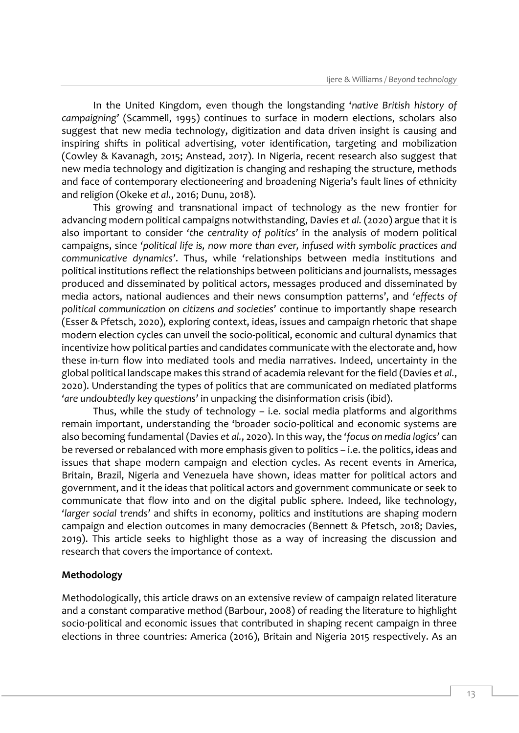In the United Kingdom, even though the longstanding '*native British history of campaigning'* (Scammell, 1995) continues to surface in modern elections, scholars also suggest that new media technology, digitization and data driven insight is causing and inspiring shifts in political advertising, voter identification, targeting and mobilization (Cowley & Kavanagh, 2015; Anstead, 2017). In Nigeria, recent research also suggest that new media technology and digitization is changing and reshaping the structure, methods and face of contemporary electioneering and broadening Nigeria's fault lines of ethnicity and religion (Okeke *et al.*, 2016; Dunu, 2018).

This growing and transnational impact of technology as the new frontier for advancing modern political campaigns notwithstanding, Davies *et al.* (2020) argue that it is also important to consider *'the centrality of politics'* in the analysis of modern political campaigns, since *'political life is, now more than ever, infused with symbolic practices and communicative dynamics'*. Thus, while 'relationships between media institutions and political institutions reflect the relationships between politicians and journalists, messages produced and disseminated by political actors, messages produced and disseminated by media actors, national audiences and their news consumption patterns', and *'effects of political communication on citizens and societies'* continue to importantly shape research (Esser & Pfetsch, 2020), exploring context, ideas, issues and campaign rhetoric that shape modern election cycles can unveil the socio-political, economic and cultural dynamics that incentivize how political parties and candidates communicate with the electorate and, how these in-turn flow into mediated tools and media narratives. Indeed, uncertainty in the global political landscape makes this strand of academia relevant for the field (Davies *et al.*, 2020). Understanding the types of politics that are communicated on mediated platforms *'are undoubtedly key questions'* in unpacking the disinformation crisis (ibid).

Thus, while the study of technology – i.e. social media platforms and algorithms remain important, understanding the 'broader socio-political and economic systems are also becoming fundamental (Davies *et al.*, 2020). In this way, the *'focus on media logics'* can be reversed or rebalanced with more emphasis given to politics – i.e. the politics, ideas and issues that shape modern campaign and election cycles. As recent events in America, Britain, Brazil, Nigeria and Venezuela have shown, ideas matter for political actors and government, and it the ideas that political actors and government communicate or seek to communicate that flow into and on the digital public sphere. Indeed, like technology, *'larger social trends'* and shifts in economy, politics and institutions are shaping modern campaign and election outcomes in many democracies (Bennett & Pfetsch, 2018; Davies, 2019). This article seeks to highlight those as a way of increasing the discussion and research that covers the importance of context.

#### **Methodology**

Methodologically, this article draws on an extensive review of campaign related literature and a constant comparative method (Barbour, 2008) of reading the literature to highlight socio-political and economic issues that contributed in shaping recent campaign in three elections in three countries: America (2016), Britain and Nigeria 2015 respectively. As an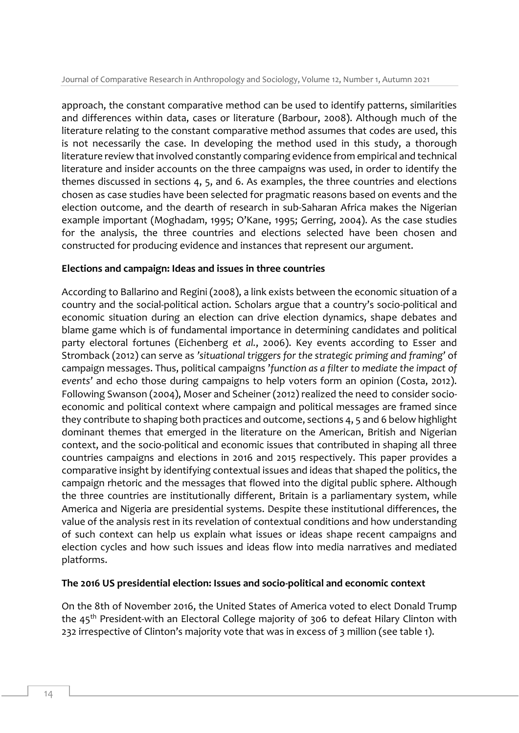approach, the constant comparative method can be used to identify patterns, similarities and differences within data, cases or literature (Barbour, 2008). Although much of the literature relating to the constant comparative method assumes that codes are used, this is not necessarily the case. In developing the method used in this study, a thorough literature review that involved constantly comparing evidence from empirical and technical literature and insider accounts on the three campaigns was used, in order to identify the themes discussed in sections 4, 5, and 6. As examples, the three countries and elections chosen as case studies have been selected for pragmatic reasons based on events and the election outcome, and the dearth of research in sub-Saharan Africa makes the Nigerian example important (Moghadam, 1995; O'Kane, 1995; Gerring, 2004). As the case studies for the analysis, the three countries and elections selected have been chosen and constructed for producing evidence and instances that represent our argument.

## **Elections and campaign: Ideas and issues in three countries**

According to Ballarino and Regini (2008), a link exists between the economic situation of a country and the social-political action. Scholars argue that a country's socio-political and economic situation during an election can drive election dynamics, shape debates and blame game which is of fundamental importance in determining candidates and political party electoral fortunes (Eichenberg *et al.*, 2006). Key events according to Esser and Stromback (2012) can serve as *'situational triggers for the strategic priming and framing'* of campaign messages. Thus, political campaigns '*function as a filter to mediate the impact of events'* and echo those during campaigns to help voters form an opinion (Costa, 2012). Following Swanson (2004), Moser and Scheiner (2012) realized the need to consider socioeconomic and political context where campaign and political messages are framed since they contribute to shaping both practices and outcome, sections 4, 5 and 6 below highlight dominant themes that emerged in the literature on the American, British and Nigerian context, and the socio-political and economic issues that contributed in shaping all three countries campaigns and elections in 2016 and 2015 respectively. This paper provides a comparative insight by identifying contextual issues and ideas that shaped the politics, the campaign rhetoric and the messages that flowed into the digital public sphere. Although the three countries are institutionally different, Britain is a parliamentary system, while America and Nigeria are presidential systems. Despite these institutional differences, the value of the analysis rest in its revelation of contextual conditions and how understanding of such context can help us explain what issues or ideas shape recent campaigns and election cycles and how such issues and ideas flow into media narratives and mediated platforms.

## **The 2016 US presidential election: Issues and socio-political and economic context**

On the 8th of November 2016, the United States of America voted to elect Donald Trump the 45<sup>th</sup> President-with an Electoral College majority of 306 to defeat Hilary Clinton with 232 irrespective of Clinton's majority vote that was in excess of 3 million (see table 1).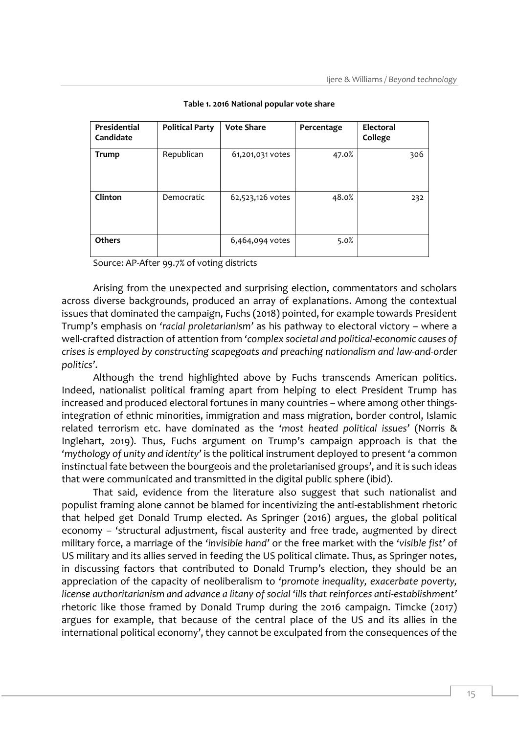| Presidential<br>Candidate | <b>Political Party</b> | <b>Vote Share</b> | Percentage | <b>Electoral</b><br>College |
|---------------------------|------------------------|-------------------|------------|-----------------------------|
| <b>Trump</b>              | Republican             | 61,201,031 votes  | 47.0%      | 306                         |
| Clinton                   | Democratic             | 62,523,126 votes  | 48.0%      | 232                         |
| Others                    |                        | 6,464,094 votes   | 5.0%       |                             |

**Table 1. 2016 National popular vote share**

Source: AP-After 99.7% of voting districts

Arising from the unexpected and surprising election, commentators and scholars across diverse backgrounds, produced an array of explanations. Among the contextual issues that dominated the campaign, Fuchs (2018) pointed, for example towards President Trump's emphasis on *'racial proletarianism'* as his pathway to electoral victory – where a well-crafted distraction of attention from *'complex societal and political-economic causes of crises is employed by constructing scapegoats and preaching nationalism and law-and-order politics'*.

Although the trend highlighted above by Fuchs transcends American politics. Indeed, nationalist political framing apart from helping to elect President Trump has increased and produced electoral fortunes in many countries – where among other thingsintegration of ethnic minorities, immigration and mass migration, border control, Islamic related terrorism etc. have dominated as the *'most heated political issues'* (Norris & Inglehart, 2019). Thus, Fuchs argument on Trump's campaign approach is that the *'mythology of unity and identity'* is the political instrument deployed to present 'a common instinctual fate between the bourgeois and the proletarianised groups', and it is such ideas that were communicated and transmitted in the digital public sphere (ibid).

That said, evidence from the literature also suggest that such nationalist and populist framing alone cannot be blamed for incentivizing the anti-establishment rhetoric that helped get Donald Trump elected. As Springer (2016) argues, the global political economy – 'structural adjustment, fiscal austerity and free trade, augmented by direct military force, a marriage of the *'invisible hand'* or the free market with the *'visible fist'* of US military and its allies served in feeding the US political climate. Thus, as Springer notes, in discussing factors that contributed to Donald Trump's election, they should be an appreciation of the capacity of neoliberalism to *'promote inequality, exacerbate poverty, license authoritarianism and advance a litany of social 'ills that reinforces anti-establishment'* rhetoric like those framed by Donald Trump during the 2016 campaign. Timcke (2017) argues for example, that because of the central place of the US and its allies in the international political economy', they cannot be exculpated from the consequences of the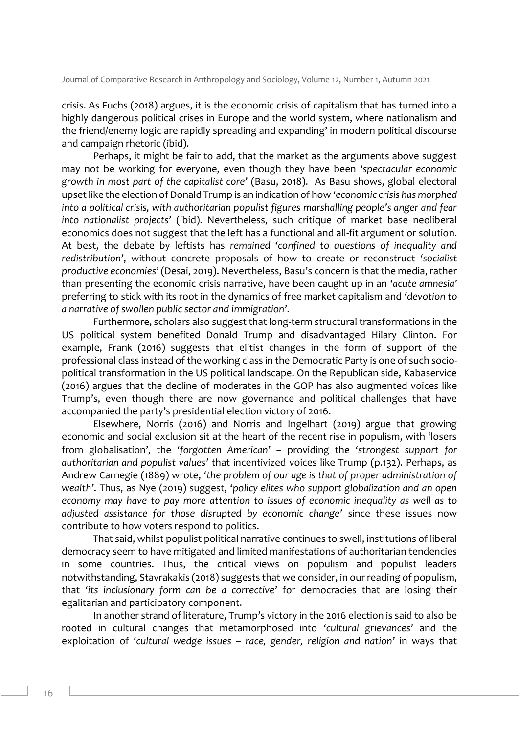crisis. As Fuchs (2018) argues, it is the economic crisis of capitalism that has turned into a highly dangerous political crises in Europe and the world system, where nationalism and the friend/enemy logic are rapidly spreading and expanding' in modern political discourse and campaign rhetoric (ibid).

Perhaps, it might be fair to add, that the market as the arguments above suggest may not be working for everyone, even though they have been *'spectacular economic growth in most part of the capitalist core'* (Basu, 2018). As Basu shows, global electoral upset like the election of Donald Trump is an indication of how *'economic crisis has morphed into a political crisis, with authoritarian populist figures marshalling people's anger and fear into nationalist projects'* (ibid). Nevertheless, such critique of market base neoliberal economics does not suggest that the left has a functional and all-fit argument or solution. At best, the debate by leftists has *remained 'confined to questions of inequality and redistribution'*, without concrete proposals of how to create or reconstruct *'socialist productive economies'* (Desai, 2019). Nevertheless, Basu's concern is that the media, rather than presenting the economic crisis narrative, have been caught up in an *'acute amnesia'* preferring to stick with its root in the dynamics of free market capitalism and *'devotion to a narrative of swollen public sector and immigration'*.

Furthermore, scholars also suggest that long-term structural transformations in the US political system benefited Donald Trump and disadvantaged Hilary Clinton. For example, Frank (2016) suggests that elitist changes in the form of support of the professional class instead of the working class in the Democratic Party is one of such sociopolitical transformation in the US political landscape. On the Republican side, Kabaservice (2016) argues that the decline of moderates in the GOP has also augmented voices like Trump's, even though there are now governance and political challenges that have accompanied the party's presidential election victory of 2016.

Elsewhere, Norris (2016) and Norris and Ingelhart (2019) argue that growing economic and social exclusion sit at the heart of the recent rise in populism, with 'losers from globalisation', the *'forgotten American'* – providing the *'strongest support for authoritarian and populist values'* that incentivized voices like Trump (p.132). Perhaps, as Andrew Carnegie (1889) wrote, *'the problem of our age is that of proper administration of wealth'*. Thus, as Nye (2019) suggest, *'policy elites who support globalization and an open economy may have to pay more attention to issues of economic inequality as well as to adjusted assistance for those disrupted by economic change'* since these issues now contribute to how voters respond to politics.

That said, whilst populist political narrative continues to swell, institutions of liberal democracy seem to have mitigated and limited manifestations of authoritarian tendencies in some countries. Thus, the critical views on populism and populist leaders notwithstanding, Stavrakakis (2018) suggests that we consider, in our reading of populism, that *'its inclusionary form can be a corrective'* for democracies that are losing their egalitarian and participatory component.

In another strand of literature, Trump's victory in the 2016 election is said to also be rooted in cultural changes that metamorphosed into *'cultural grievances'* and the exploitation of *'cultural wedge issues – race, gender, religion and nation'* in ways that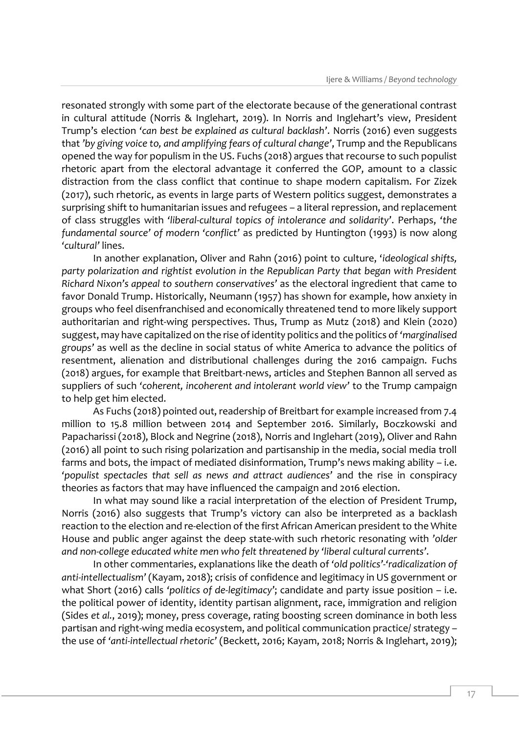resonated strongly with some part of the electorate because of the generational contrast in cultural attitude (Norris & Inglehart, 2019). In Norris and Inglehart's view, President Trump's election *'can best be explained as cultural backlash'*. Norris (2016) even suggests that *'by giving voice to, and amplifying fears of cultural change'*, Trump and the Republicans opened the way for populism in the US. Fuchs (2018) argues that recourse to such populist rhetoric apart from the electoral advantage it conferred the GOP, amount to a classic distraction from the class conflict that continue to shape modern capitalism. For Zizek (2017), such rhetoric, as events in large parts of Western politics suggest, demonstrates a surprising shift to humanitarian issues and refugees – a literal repression, and replacement of class struggles with *'liberal-cultural topics of intolerance and solidarity'*. Perhaps, *'the fundamental source' of modern 'conflict'* as predicted by Huntington (1993) is now along *'cultural'* lines.

In another explanation, Oliver and Rahn (2016) point to culture, '*ideological shifts, party polarization and rightist evolution in the Republican Party that began with President Richard Nixon's appeal to southern conservatives'* as the electoral ingredient that came to favor Donald Trump. Historically, Neumann (1957) has shown for example, how anxiety in groups who feel disenfranchised and economically threatened tend to more likely support authoritarian and right-wing perspectives. Thus, Trump as Mutz (2018) and Klein (2020) suggest, may have capitalized on the rise of identity politics and the politics of *'marginalised groups'* as well as the decline in social status of white America to advance the politics of resentment, alienation and distributional challenges during the 2016 campaign. Fuchs (2018) argues, for example that Breitbart-news, articles and Stephen Bannon all served as suppliers of such *'coherent, incoherent and intolerant world view'* to the Trump campaign to help get him elected.

As Fuchs (2018) pointed out, readership of Breitbart for example increased from 7.4 million to 15.8 million between 2014 and September 2016*.* Similarly, Boczkowski and Papacharissi (2018), Block and Negrine (2018), Norris and Inglehart (2019), Oliver and Rahn (2016) all point to such rising polarization and partisanship in the media, social media troll farms and bots, the impact of mediated disinformation, Trump's news making ability – i.e. *'populist spectacles that sell as news and attract audiences'* and the rise in conspiracy theories as factors that may have influenced the campaign and 2016 election.

In what may sound like a racial interpretation of the election of President Trump, Norris (2016) also suggests that Trump's victory can also be interpreted as a backlash reaction to the election and re-election of the first African American president to the White House and public anger against the deep state-with such rhetoric resonating with *'older and non-college educated white men who felt threatened by 'liberal cultural currents'*.

In other commentaries, explanations like the death of *'old politics'-'radicalization of anti-intellectualism'* (Kayam, 2018); crisis of confidence and legitimacy in US government or what Short (2016) calls 'politics of de-legitimacy'; candidate and party issue position – i.e. the political power of identity, identity partisan alignment, race, immigration and religion (Sides *et al.*, 2019); money, press coverage, rating boosting screen dominance in both less partisan and right-wing media ecosystem, and political communication practice/ strategy – the use of *'anti-intellectual rhetoric'* (Beckett, 2016; Kayam, 2018; Norris & Inglehart, 2019);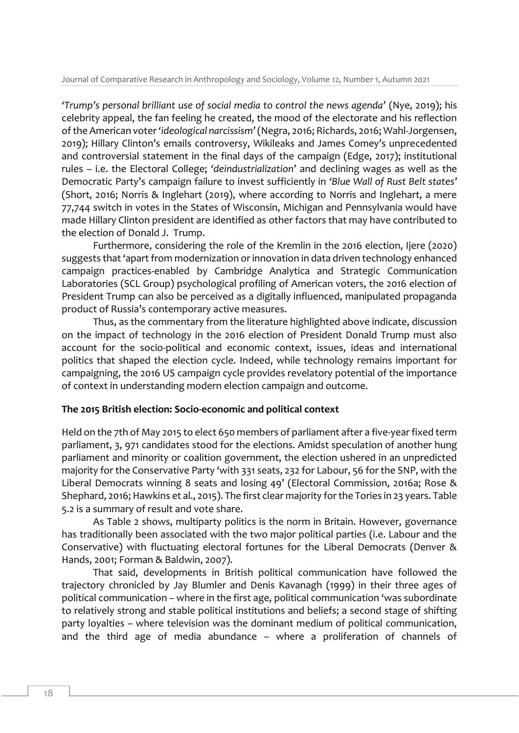*'Trump's personal brilliant use of social media to control the news agenda'* (Nye, 2019); his celebrity appeal, the fan feeling he created, the mood of the electorate and his reflection of the American voter *'ideological narcissism'*(Negra, 2016; Richards, 2016; Wahl-Jorgensen, 2019); Hillary Clinton's emails controversy, Wikileaks and James Comey's unprecedented and controversial statement in the final days of the campaign (Edge, 2017); institutional rules – i.e. the Electoral College; *'deindustrialization'* and declining wages as well as the Democratic Party's campaign failure to invest sufficiently in *'Blue Wall of Rust Belt states'* (Short, 2016; Norris & Inglehart (2019), where according to Norris and Inglehart, a mere 77,744 switch in votes in the States of Wisconsin, Michigan and Pennsylvania would have made Hillary Clinton president are identified as other factors that may have contributed to the election of Donald J. Trump.

Furthermore, considering the role of the Kremlin in the 2016 election, Ijere (2020) suggests that 'apart from modernization or innovation in data driven technology enhanced campaign practices-enabled by Cambridge Analytica and Strategic Communication Laboratories (SCL Group) psychological profiling of American voters, the 2016 election of President Trump can also be perceived as a digitally influenced, manipulated propaganda product of Russia's contemporary active measures.

Thus, as the commentary from the literature highlighted above indicate, discussion on the impact of technology in the 2016 election of President Donald Trump must also account for the socio-political and economic context, issues, ideas and international politics that shaped the election cycle. Indeed, while technology remains important for campaigning, the 2016 US campaign cycle provides revelatory potential of the importance of context in understanding modern election campaign and outcome.

## **The 2015 British election: Socio-economic and political context**

Held on the 7th of May 2015 to elect 650 members of parliament after a five-year fixed term parliament, 3, 971 candidates stood for the elections. Amidst speculation of another hung parliament and minority or coalition government, the election ushered in an unpredicted majority for the Conservative Party 'with 331 seats, 232 for Labour, 56 for the SNP, with the Liberal Democrats winning 8 seats and losing 49' (Electoral Commission, 2016a; Rose & Shephard, 2016; Hawkins et al., 2015). The first clear majority for the Tories in 23 years. Table 5.2 is a summary of result and vote share.

As Table 2 shows, multiparty politics is the norm in Britain. However, governance has traditionally been associated with the two major political parties (i.e. Labour and the Conservative) with fluctuating electoral fortunes for the Liberal Democrats (Denver & Hands, 2001; Forman & Baldwin, 2007).

That said, developments in British political communication have followed the trajectory chronicled by Jay Blumler and Denis Kavanagh (1999) in their three ages of political communication – where in the first age, political communication 'was subordinate to relatively strong and stable political institutions and beliefs; a second stage of shifting party loyalties – where television was the dominant medium of political communication, and the third age of media abundance – where a proliferation of channels of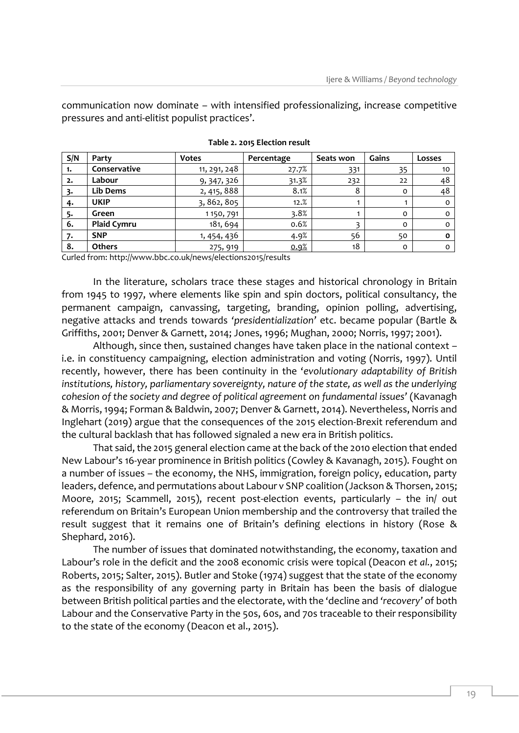communication now dominate – with intensified professionalizing, increase competitive pressures and anti-elitist populist practices'.

| S/N | Party              | <b>Votes</b> | Percentage | Seats won | Gains    | Losses       |
|-----|--------------------|--------------|------------|-----------|----------|--------------|
| 1.  | Conservative       | 11, 291, 248 | 27.7%      | 331       | 35       | 10           |
| 2.  | Labour             | 9, 347, 326  | 31.3%      | 232       | 22       | 48           |
| 3.  | Lib Dems           | 2, 415, 888  | 8.1%       | 8         | $\Omega$ | 48           |
| 4.  | <b>UKIP</b>        | 3, 862, 805  | 12.%       |           |          | $\Omega$     |
| 5.  | Green              | 1150,791     | 3.8%       |           | $\Omega$ | $\circ$      |
| 6.  | <b>Plaid Cymru</b> | 181, 694     | 0.6%       | ∍         | $\Omega$ | $\circ$      |
| 7.  | <b>SNP</b>         | 1, 454, 436  | 4.9%       | 56        | 50       | $\mathbf{o}$ |
| 8.  | <b>Others</b>      | 275, 919     | 0.9%       | 18        | $\Omega$ | $\Omega$     |

**Table 2. 2015 Election result**

Curled from[: http://www.bbc.co.uk/news/elections2015/results](http://www.bbc.co.uk/news/elections2015/results)

In the literature, scholars trace these stages and historical chronology in Britain from 1945 to 1997, where elements like spin and spin doctors, political consultancy, the permanent campaign, canvassing, targeting, branding, opinion polling, advertising, negative attacks and trends towards *'presidentialization'* etc. became popular (Bartle & Griffiths, 2001; Denver & Garnett, 2014; Jones, 1996; Mughan, 2000; Norris, 1997; 2001).

Although, since then, sustained changes have taken place in the national context – i.e. in constituency campaigning, election administration and voting (Norris, 1997). Until recently, however, there has been continuity in the '*evolutionary adaptability of British institutions, history, parliamentary sovereignty, nature of the state, as well as the underlying cohesion of the society and degree of political agreement on fundamental issues'* (Kavanagh & Morris, 1994; Forman & Baldwin, 2007; Denver & Garnett, 2014). Nevertheless, Norris and Inglehart (2019) argue that the consequences of the 2015 election-Brexit referendum and the cultural backlash that has followed signaled a new era in British politics.

That said, the 2015 general election came at the back of the 2010 election that ended New Labour's 16-year prominence in British politics (Cowley & Kavanagh, 2015). Fought on a number of issues – the economy, the NHS, immigration, foreign policy, education, party leaders, defence, and permutations about Labour v SNP coalition (Jackson & Thorsen, 2015; Moore, 2015; Scammell, 2015), recent post-election events, particularly – the in/ out referendum on Britain's European Union membership and the controversy that trailed the result suggest that it remains one of Britain's defining elections in history (Rose & Shephard, 2016).

The number of issues that dominated notwithstanding, the economy, taxation and Labour's role in the deficit and the 2008 economic crisis were topical (Deacon *et al.*, 2015; Roberts, 2015; Salter, 2015). Butler and Stoke (1974) suggest that the state of the economy as the responsibility of any governing party in Britain has been the basis of dialogue between British political parties and the electorate, with the 'decline and *'recovery'* of both Labour and the Conservative Party in the 50s, 60s, and 70s traceable to their responsibility to the state of the economy (Deacon et al., 2015).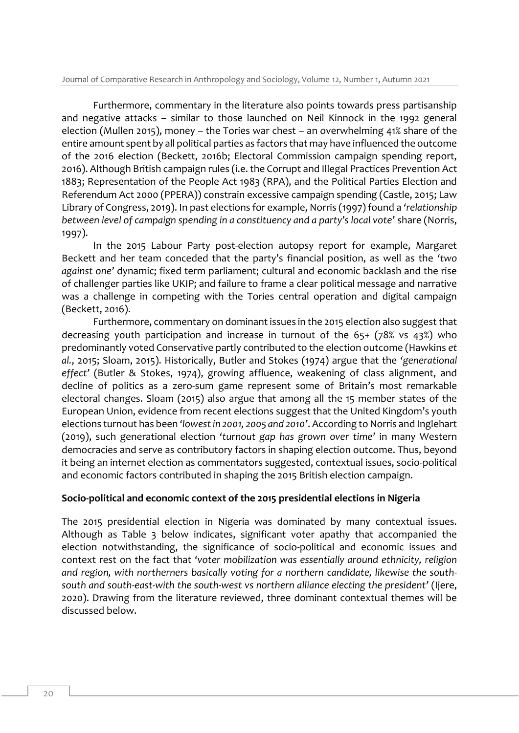Furthermore, commentary in the literature also points towards press partisanship and negative attacks – similar to those launched on Neil Kinnock in the 1992 general election (Mullen 2015), money – the Tories war chest – an overwhelming 41% share of the entire amount spent by all political parties as factors that may have influenced the outcome of the 2016 election (Beckett, 2016b; Electoral Commission campaign spending report, 2016). Although British campaign rules (i.e. the Corrupt and Illegal Practices Prevention Act 1883; Representation of the People Act 1983 (RPA), and the Political Parties Election and Referendum Act 2000 (PPERA)) constrain excessive campaign spending (Castle, 2015; Law Library of Congress, 2019). In past elections for example, Norris (1997) found a *'relationship between level of campaign spending in a constituency and a party's local vote'* share (Norris, 1997).

In the 2015 Labour Party post-election autopsy report for example, Margaret Beckett and her team conceded that the party's financial position, as well as the *'two against one'* dynamic; fixed term parliament; cultural and economic backlash and the rise of challenger parties like UKIP; and failure to frame a clear political message and narrative was a challenge in competing with the Tories central operation and digital campaign (Beckett, 2016).

Furthermore, commentary on dominant issues in the 2015 election also suggest that decreasing youth participation and increase in turnout of the 65+ (78% vs 43%) who predominantly voted Conservative partly contributed to the election outcome (Hawkins *et al.*, 2015; Sloam, 2015). Historically, Butler and Stokes (1974) argue that the *'generational effect'* (Butler & Stokes, 1974), growing affluence, weakening of class alignment, and decline of politics as a zero-sum game represent some of Britain's most remarkable electoral changes. Sloam (2015) also argue that among all the 15 member states of the European Union, evidence from recent elections suggest that the United Kingdom's youth elections turnout has been *'lowest in 2001, 2005 and 2010'*. According to Norris and Inglehart (2019), such generational election *'turnout gap has grown over time'* in many Western democracies and serve as contributory factors in shaping election outcome. Thus, beyond it being an internet election as commentators suggested, contextual issues, socio-political and economic factors contributed in shaping the 2015 British election campaign.

## **Socio-political and economic context of the 2015 presidential elections in Nigeria**

The 2015 presidential election in Nigeria was dominated by many contextual issues. Although as Table 3 below indicates, significant voter apathy that accompanied the election notwithstanding, the significance of socio-political and economic issues and context rest on the fact that *'voter mobilization was essentially around ethnicity, religion and region, with northerners basically voting for a northern candidate, likewise the southsouth and south-east-with the south-west vs northern alliance electing the president'* (Ijere, 2020). Drawing from the literature reviewed, three dominant contextual themes will be discussed below.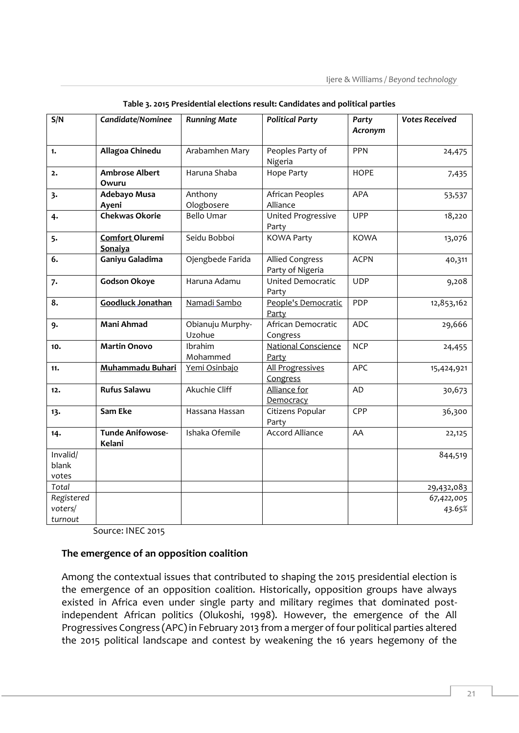| S/N                              | Candidate/Nominee                 | <b>Running Mate</b>        | <b>Political Party</b>                     | Party<br>Acronym | <b>Votes Received</b> |
|----------------------------------|-----------------------------------|----------------------------|--------------------------------------------|------------------|-----------------------|
|                                  |                                   |                            |                                            |                  |                       |
| 1.                               | Allagoa Chinedu                   | Arabamhen Mary             | Peoples Party of<br>Nigeria                | <b>PPN</b>       | 24,475                |
| 2.                               | <b>Ambrose Albert</b><br>Owuru    | Haruna Shaba               | <b>Hope Party</b>                          | <b>HOPE</b>      | 7,435                 |
| 3.                               | <b>Adebayo Musa</b><br>Ayeni      | Anthony<br>Ologbosere      | African Peoples<br>Alliance                | <b>APA</b>       | 53,537                |
| 4.                               | <b>Chekwas Okorie</b>             | <b>Bello Umar</b>          | United Progressive<br>Party                | <b>UPP</b>       | 18,220                |
| 5.                               | Comfort Oluremi<br>Sonaiya        | Seidu Bobboi               | <b>KOWA Party</b>                          | <b>KOWA</b>      | 13,076                |
| 6.                               | Ganiyu Galadima                   | Ojengbede Farida           | <b>Allied Congress</b><br>Party of Nigeria | <b>ACPN</b>      | 40,311                |
| 7.                               | Godson Okoye                      | Haruna Adamu               | <b>United Democratic</b><br>Party          | <b>UDP</b>       | 9,208                 |
| 8.                               | <b>Goodluck Jonathan</b>          | Namadi Sambo               | People's Democratic<br>Party               | PDP              | 12,853,162            |
| 9.                               | <b>Mani Ahmad</b>                 | Obianuju Murphy-<br>Uzohue | African Democratic<br>Congress             | <b>ADC</b>       | 29,666                |
| 10.                              | <b>Martin Onovo</b>               | Ibrahim<br>Mohammed        | <b>National Conscience</b><br>Party        | <b>NCP</b>       | 24,455                |
| 11.                              | <b>Muhammadu Buhari</b>           | Yemi Osinbajo              | All Progressives<br>Congress               | <b>APC</b>       | 15,424,921            |
| 12.                              | <b>Rufus Salawu</b>               | Akuchie Cliff              | Alliance for<br>Democracy                  | AD               | 30,673                |
| 13.                              | Sam Eke                           | Hassana Hassan             | Citizens Popular<br>Party                  | CPP              | 36,300                |
| 14.                              | <b>Tunde Anifowose-</b><br>Kelani | Ishaka Ofemile             | <b>Accord Alliance</b>                     | AA               | 22,125                |
| Invalid/<br>blank<br>votes       |                                   |                            |                                            |                  | 844,519               |
| Total                            |                                   |                            |                                            |                  | 29,432,083            |
| Registered<br>voters/<br>turnout |                                   |                            |                                            |                  | 67,422,005<br>43.65%  |

**Table 3. 2015 Presidential elections result: Candidates and political parties**

Source: INEC 2015

## **The emergence of an opposition coalition**

Among the contextual issues that contributed to shaping the 2015 presidential election is the emergence of an opposition coalition. Historically, opposition groups have always existed in Africa even under single party and military regimes that dominated postindependent African politics (Olukoshi, 1998). However, the emergence of the All Progressives Congress (APC) in February 2013 from a merger of four political parties altered the 2015 political landscape and contest by weakening the 16 years hegemony of the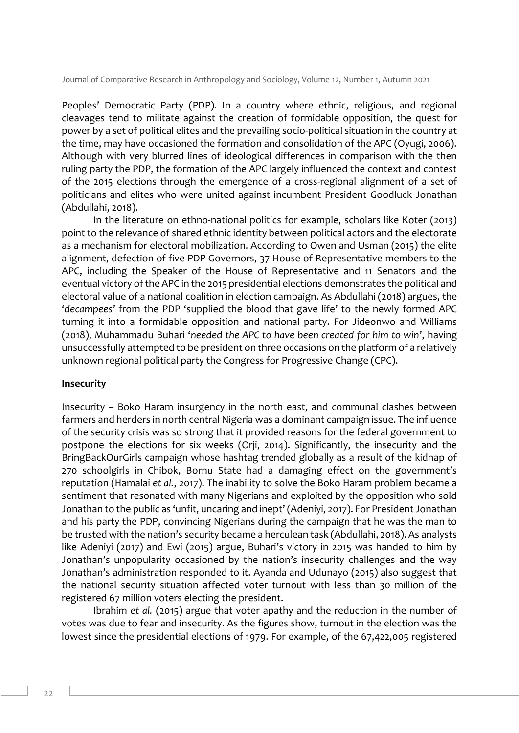Peoples' Democratic Party (PDP). In a country where ethnic, religious, and regional cleavages tend to militate against the creation of formidable opposition, the quest for power by a set of political elites and the prevailing socio-political situation in the country at the time, may have occasioned the formation and consolidation of the APC (Oyugi, 2006). Although with very blurred lines of ideological differences in comparison with the then ruling party the PDP, the formation of the APC largely influenced the context and contest of the 2015 elections through the emergence of a cross-regional alignment of a set of politicians and elites who were united against incumbent President Goodluck Jonathan (Abdullahi, 2018).

In the literature on ethno-national politics for example, scholars like Koter (2013) point to the relevance of shared ethnic identity between political actors and the electorate as a mechanism for electoral mobilization. According to Owen and Usman (2015) the elite alignment, defection of five PDP Governors, 37 House of Representative members to the APC, including the Speaker of the House of Representative and 11 Senators and the eventual victory of the APC in the 2015 presidential elections demonstrates the political and electoral value of a national coalition in election campaign. As Abdullahi (2018) argues, the *'decampees'* from the PDP 'supplied the blood that gave life' to the newly formed APC turning it into a formidable opposition and national party. For Jideonwo and Williams (2018), Muhammadu Buhari '*needed the APC to have been created for him to win'*, having unsuccessfully attempted to be president on three occasions on the platform of a relatively unknown regional political party the Congress for Progressive Change (CPC).

## **Insecurity**

Insecurity – Boko Haram insurgency in the north east, and communal clashes between farmers and herders in north central Nigeria was a dominant campaign issue. The influence of the security crisis was so strong that it provided reasons for the federal government to postpone the elections for six weeks (Orji, 2014). Significantly, the insecurity and the BringBackOurGirls campaign whose hashtag trended globally as a result of the kidnap of 270 schoolgirls in Chibok, Bornu State had a damaging effect on the government's reputation (Hamalai *et al.*, 2017). The inability to solve the Boko Haram problem became a sentiment that resonated with many Nigerians and exploited by the opposition who sold Jonathan to the public as 'unfit, uncaring and inept' (Adeniyi, 2017). For President Jonathan and his party the PDP, convincing Nigerians during the campaign that he was the man to be trusted with the nation's security became a herculean task (Abdullahi, 2018). As analysts like Adeniyi (2017) and Ewi (2015) argue, Buhari's victory in 2015 was handed to him by Jonathan's unpopularity occasioned by the nation's insecurity challenges and the way Jonathan's administration responded to it. Ayanda and Udunayo (2015) also suggest that the national security situation affected voter turnout with less than 30 million of the registered 67 million voters electing the president.

Ibrahim *et al.* (2015) argue that voter apathy and the reduction in the number of votes was due to fear and insecurity. As the figures show, turnout in the election was the lowest since the presidential elections of 1979. For example, of the 67,422,005 registered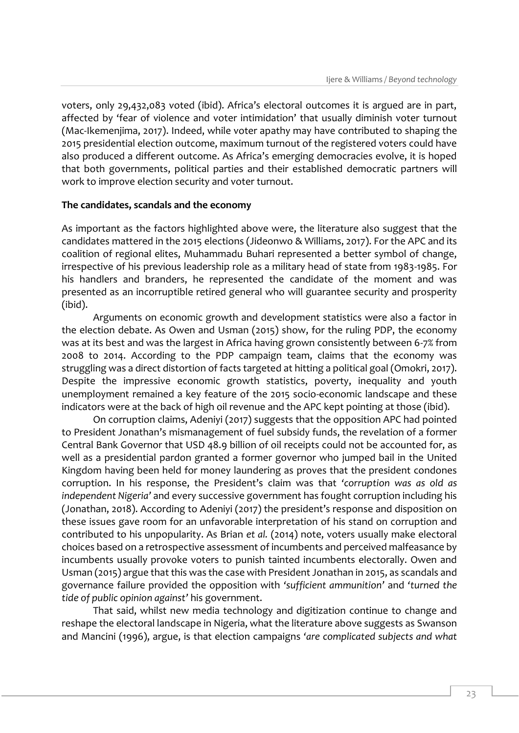voters, only 29,432,083 voted (ibid). Africa's electoral outcomes it is argued are in part, affected by 'fear of violence and voter intimidation' that usually diminish voter turnout (Mac-Ikemenjima, 2017). Indeed, while voter apathy may have contributed to shaping the 2015 presidential election outcome, maximum turnout of the registered voters could have also produced a different outcome. As Africa's emerging democracies evolve, it is hoped that both governments, political parties and their established democratic partners will work to improve election security and voter turnout.

#### **The candidates, scandals and the economy**

As important as the factors highlighted above were, the literature also suggest that the candidates mattered in the 2015 elections (Jideonwo & Williams, 2017). For the APC and its coalition of regional elites, Muhammadu Buhari represented a better symbol of change, irrespective of his previous leadership role as a military head of state from 1983-1985. For his handlers and branders, he represented the candidate of the moment and was presented as an incorruptible retired general who will guarantee security and prosperity (ibid).

Arguments on economic growth and development statistics were also a factor in the election debate. As Owen and Usman (2015) show, for the ruling PDP, the economy was at its best and was the largest in Africa having grown consistently between 6-7% from 2008 to 2014. According to the PDP campaign team, claims that the economy was struggling was a direct distortion of facts targeted at hitting a political goal (Omokri, 2017). Despite the impressive economic growth statistics, poverty, inequality and youth unemployment remained a key feature of the 2015 socio-economic landscape and these indicators were at the back of high oil revenue and the APC kept pointing at those (ibid).

On corruption claims, Adeniyi (2017) suggests that the opposition APC had pointed to President Jonathan's mismanagement of fuel subsidy funds, the revelation of a former Central Bank Governor that USD 48.9 billion of oil receipts could not be accounted for, as well as a presidential pardon granted a former governor who jumped bail in the United Kingdom having been held for money laundering as proves that the president condones corruption. In his response, the President's claim was that *'corruption was as old as independent Nigeria'* and every successive government has fought corruption including his (Jonathan, 2018). According to Adeniyi (2017) the president's response and disposition on these issues gave room for an unfavorable interpretation of his stand on corruption and contributed to his unpopularity. As Brian *et al.* (2014) note, voters usually make electoral choices based on a retrospective assessment of incumbents and perceived malfeasance by incumbents usually provoke voters to punish tainted incumbents electorally. Owen and Usman (2015) argue that this was the case with President Jonathan in 2015, as scandals and governance failure provided the opposition with *'sufficient ammunition'* and *'turned the tide of public opinion against'* his government.

That said, whilst new media technology and digitization continue to change and reshape the electoral landscape in Nigeria, what the literature above suggests as Swanson and Mancini (1996), argue, is that election campaigns *'are complicated subjects and what*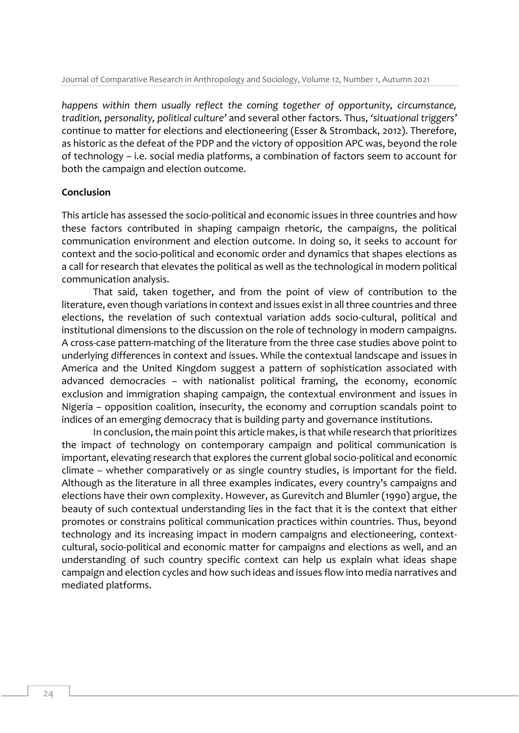*happens within them usually reflect the coming together of opportunity, circumstance, tradition, personality, political culture'* and several other factors. Thus, *'situational triggers'* continue to matter for elections and electioneering (Esser & Stromback, 2012). Therefore, as historic as the defeat of the PDP and the victory of opposition APC was, beyond the role of technology – i.e. social media platforms, a combination of factors seem to account for both the campaign and election outcome.

## **Conclusion**

This article has assessed the socio-political and economic issues in three countries and how these factors contributed in shaping campaign rhetoric, the campaigns, the political communication environment and election outcome. In doing so, it seeks to account for context and the socio-political and economic order and dynamics that shapes elections as a call for research that elevates the political as well as the technological in modern political communication analysis.

That said, taken together, and from the point of view of contribution to the literature, even though variations in context and issues exist in all three countries and three elections, the revelation of such contextual variation adds socio-cultural, political and institutional dimensions to the discussion on the role of technology in modern campaigns. A cross-case pattern-matching of the literature from the three case studies above point to underlying differences in context and issues. While the contextual landscape and issues in America and the United Kingdom suggest a pattern of sophistication associated with advanced democracies – with nationalist political framing, the economy, economic exclusion and immigration shaping campaign, the contextual environment and issues in Nigeria – opposition coalition, insecurity, the economy and corruption scandals point to indices of an emerging democracy that is building party and governance institutions.

In conclusion, the main point this article makes, is that while research that prioritizes the impact of technology on contemporary campaign and political communication is important, elevating research that explores the current global socio-political and economic climate – whether comparatively or as single country studies, is important for the field. Although as the literature in all three examples indicates, every country's campaigns and elections have their own complexity. However, as Gurevitch and Blumler (1990) argue, the beauty of such contextual understanding lies in the fact that it is the context that either promotes or constrains political communication practices within countries. Thus, beyond technology and its increasing impact in modern campaigns and electioneering, contextcultural, socio-political and economic matter for campaigns and elections as well, and an understanding of such country specific context can help us explain what ideas shape campaign and election cycles and how such ideas and issues flow into media narratives and mediated platforms.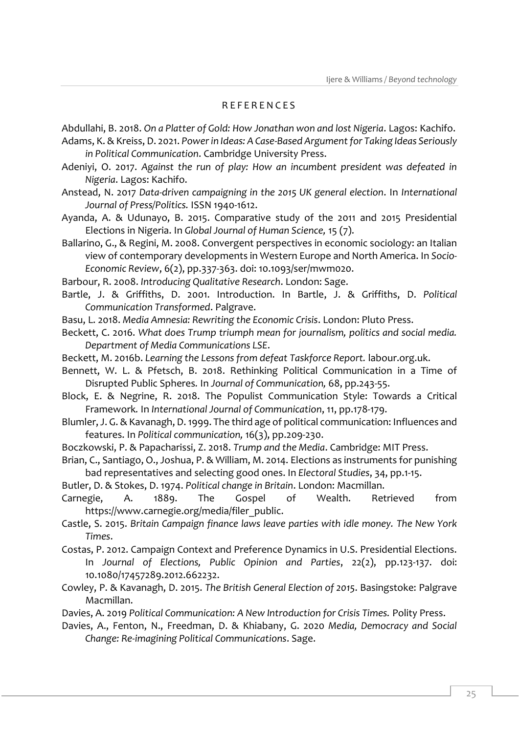#### R E F E R E N C E S

Abdullahi, B. 2018. *On a Platter of Gold: How Jonathan won and lost Nigeria*. Lagos: Kachifo.

- Adams, K. & Kreiss, D. 2021. *Power in Ideas: A Case-Based Argument for Taking Ideas Seriously in Political Communication*. Cambridge University Press.
- Adeniyi, O. 2017. *Against the run of play: How an incumbent president was defeated in Nigeria*. Lagos: Kachifo.
- Anstead, N. 2017 *Data-driven campaigning in the 2015 UK general election*. In *International Journal of Press/Politics.* ISSN 1940-1612.

Ayanda, A. & Udunayo, B. 2015. Comparative study of the 2011 and 2015 Presidential Elections in Nigeria. In *Global Journal of Human Science,* 15 (7).

Ballarino, G., & Regini, M. 2008. Convergent perspectives in economic sociology: an Italian view of contemporary developments in Western Europe and North America. In *Socio-Economic Review*, 6(2), pp.337-363. doi: 10.1093/ser/mwm020.

Barbour, R. 2008. *Introducing Qualitative Research*. London: Sage.

Bartle, J. & Griffiths, D. 2001. Introduction. In Bartle, J. & Griffiths, D. *Political Communication Transformed*. Palgrave.

Basu, L. 2018. *Media Amnesia: Rewriting the Economic Crisis*. London: Pluto Press.

Beckett, C. 2016. *What does Trump triumph mean for journalism, politics and social media. Department of Media Communications LSE*.

- Beckett, M. 2016b. *Learning the Lessons from defeat Taskforce Report.* labour.org.uk.
- Bennett, W. L. & Pfetsch, B. 2018. Rethinking Political Communication in a Time of Disrupted Public Spheres*.* In *Journal of Communication,* 68, pp.243-55.

Block, E. & Negrine, R. 2018. The Populist Communication Style: Towards a Critical Framework*.* In *International Journal of Communication*, 11, pp.178-179.

Blumler, J. G. & Kavanagh, D. 1999. The third age of political communication: Influences and features. In *Political communication,* 16(3), pp.209-230.

- Boczkowski, P. & Papacharissi, Z. 2018. *Trump and the Media*. Cambridge: MIT Press.
- Brian, C., Santiago, O., Joshua, P. & William, M. 2014. Elections as instruments for punishing bad representatives and selecting good ones. In *Electoral Studies*, 34, pp.1-15.

Butler, D. & Stokes, D. 1974. *Political change in Britain*. London: Macmillan.

Carnegie, A. 1889. The Gospel of Wealth. Retrieved from https://www.carnegie.org/media/filer\_public.

Castle, S. 2015. *Britain Campaign finance laws leave parties with idle money. The New York Times*.

Costas, P. 2012. Campaign Context and Preference Dynamics in U.S. Presidential Elections. In *Journal of Elections, Public Opinion and Parties*, 22(2), pp.123-137. doi: 10.1080/17457289.2012.662232.

Cowley, P. & Kavanagh, D. 2015. *The British General Election of 2015*. Basingstoke: Palgrave Macmillan.

Davies, A. 2019 *Political Communication: A New Introduction for Crisis Times.* Polity Press.

Davies, A., Fenton, N., Freedman, D. & Khiabany, G. 2020 *Media, Democracy and Social Change: Re-imagining Political Communications*. Sage.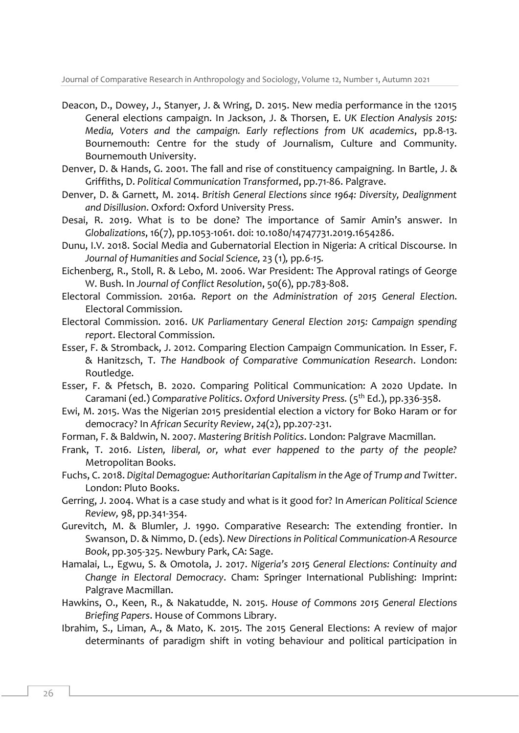- Deacon, D., Dowey, J., Stanyer, J. & Wring, D. 2015. New media performance in the 12015 General elections campaign. In Jackson, J. & Thorsen, E. *UK Election Analysis 2015: Media, Voters and the campaign. Early reflections from UK academics*, pp.8-13. Bournemouth: Centre for the study of Journalism, Culture and Community. Bournemouth University.
- Denver, D. & Hands, G. 2001. The fall and rise of constituency campaigning*.* In Bartle, J. & Griffiths, D. *Political Communication Transformed*, pp.71-86. Palgrave.
- Denver, D. & Garnett, M. 2014. *British General Elections since 1964: Diversity, Dealignment and Disillusion*. Oxford: Oxford University Press.
- Desai, R. 2019. What is to be done? The importance of Samir Amin's answer. In *Globalizations*, 16(7), pp.1053-1061. doi: 10.1080/14747731.2019.1654286.
- Dunu, I.V. 2018. Social Media and Gubernatorial Election in Nigeria: A critical Discourse. In *Journal of Humanities and Social Science,* 23 (1)*,* pp*.6-15.*
- Eichenberg, R., Stoll, R. & Lebo, M. 2006. War President: The Approval ratings of George W. Bush. In *Journal of Conflict Resolution*, 50(6), pp.783-808.
- Electoral Commission. 2016a. *Report on the Administration of 2015 General Election*. Electoral Commission.
- Electoral Commission. 2016. *UK Parliamentary General Election 2015: Campaign spending report*. Electoral Commission.
- Esser, F. & Stromback, J. 2012. Comparing Election Campaign Communication*.* In Esser, F. & Hanitzsch, T. *The Handbook of Comparative Communication Research*. London: Routledge.
- Esser, F. & Pfetsch, B. 2020. Comparing Political Communication: A 2020 Update. In Caramani (ed.) *Comparative Politics*. *Oxford University Press.* (5th Ed.), pp.336-358.
- Ewi, M. 2015. Was the Nigerian 2015 presidential election a victory for Boko Haram or for democracy? In *African Security Review*, *24*(2), pp.207-231.
- Forman, F. & Baldwin, N. 2007. *Mastering British Politics*. London: Palgrave Macmillan.
- Frank, T. 2016. *Listen, liberal, or, what ever happened to the party of the people?* Metropolitan Books.
- Fuchs, C. 2018. *Digital Demagogue: Authoritarian Capitalism in the Age of Trump and Twitter*. London: Pluto Books.
- Gerring, J. 2004. What is a case study and what is it good for? In *American Political Science Review,* 98, pp.341-354.
- Gurevitch, M. & Blumler, J. 1990. Comparative Research: The extending frontier. In Swanson, D. & Nimmo, D. (eds). *New Directions in Political Communication-A Resource Book*, pp.305-325. Newbury Park, CA: Sage.
- Hamalai, L., Egwu, S. & Omotola, J. 2017. *Nigeria's 2015 General Elections: Continuity and Change in Electoral Democracy*. Cham: Springer International Publishing: Imprint: Palgrave Macmillan.
- Hawkins, O., Keen, R., & Nakatudde, N. 2015. *House of Commons 2015 General Elections Briefing Papers*. House of Commons Library.
- Ibrahim, S., Liman, A., & Mato, K. 2015. The 2015 General Elections: A review of major determinants of paradigm shift in voting behaviour and political participation in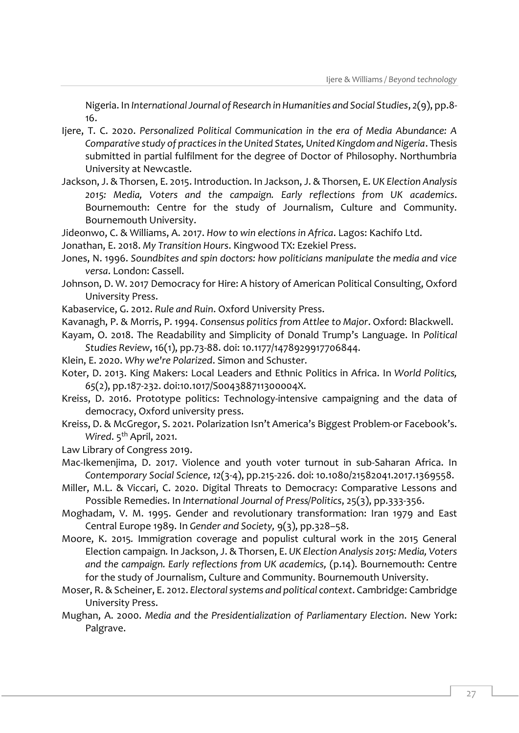Nigeria. In *International Journal of Research in Humanities and Social Studies*, *2*(9), pp.8- 16.

- Ijere, T. C. 2020. *Personalized Political Communication in the era of Media Abundance: A Comparative study of practices in the United States, United Kingdom and Nigeria*. Thesis submitted in partial fulfilment for the degree of Doctor of Philosophy. Northumbria University at Newcastle.
- Jackson, J. & Thorsen, E. 2015. Introduction. In Jackson, J. & Thorsen, E. *UK Election Analysis 2015: Media, Voters and the campaign. Early reflections from UK academics*. Bournemouth: Centre for the study of Journalism, Culture and Community. Bournemouth University.
- Jideonwo, C. & Williams, A. 2017. *How to win elections in Africa*. Lagos: Kachifo Ltd.
- Jonathan, E. 2018. *My Transition Hours*. Kingwood TX: Ezekiel Press.
- Jones, N. 1996. *Soundbites and spin doctors: how politicians manipulate the media and vice versa*. London: Cassell.
- Johnson, D. W. 2017 Democracy for Hire: A history of American Political Consulting, Oxford University Press.
- Kabaservice, G. 2012. *Rule and Ruin*. Oxford University Press.
- Kavanagh, P. & Morris, P. 1994. *Consensus politics from Attlee to Major*. Oxford: Blackwell.
- Kayam, O. 2018. The Readability and Simplicity of Donald Trump's Language. In *Political Studies Review*, 16(1), pp.73-88. doi: 10.1177/1478929917706844.
- Klein, E. 2020. *Why we're Polarized*. Simon and Schuster.
- Koter, D. 2013. King Makers: Local Leaders and Ethnic Politics in Africa. In *World Politics, 65*(2), pp.187-232. doi:10.1017/S004388711300004X.
- Kreiss, D. 2016. Prototype politics: Technology-intensive campaigning and the data of democracy, Oxford university press.
- Kreiss, D. & McGregor, S. 2021. Polarization Isn't America's Biggest Problem-or Facebook's. *Wired.* 5<sup>th</sup> April, 2021.
- Law Library of Congress 2019.
- Mac-Ikemenjima, D. 2017. Violence and youth voter turnout in sub-Saharan Africa. In *Contemporary Social Science, 12*(3-4), pp.215-226. doi: 10.1080/21582041.2017.1369558.
- Miller, M.L. & Viccari, C. 2020. Digital Threats to Democracy: Comparative Lessons and Possible Remedies. In *International Journal of Press/Politics*, 25(3), pp.333-356.
- Moghadam, V. M. 1995. Gender and revolutionary transformation: Iran 1979 and East Central Europe 1989. In *Gender and Society,* 9(3), pp.328–58.
- Moore, K. 2015*.* Immigration coverage and populist cultural work in the 2015 General Election campaign*.* In Jackson, J. & Thorsen, E. *UK Election Analysis 2015: Media, Voters and the campaign. Early reflections from UK academics,* (p.14). Bournemouth: Centre for the study of Journalism, Culture and Community. Bournemouth University.
- Moser, R. & Scheiner, E. 2012. *Electoral systems and political context*. Cambridge: Cambridge University Press.
- Mughan, A. 2000. *Media and the Presidentialization of Parliamentary Election*. New York: Palgrave.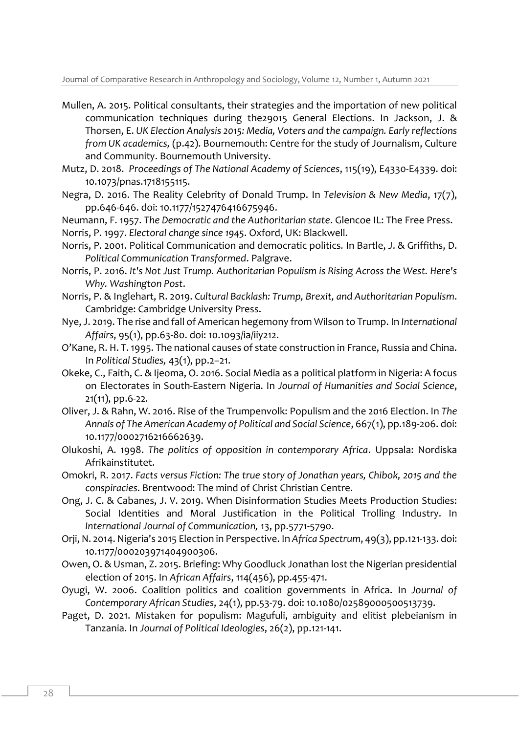- Mullen, A. 2015. Political consultants, their strategies and the importation of new political communication techniques during the29015 General Elections. In Jackson, J. & Thorsen, E. *UK Election Analysis 2015: Media, Voters and the campaign. Early reflections from UK academics,* (p.42). Bournemouth: Centre for the study of Journalism, Culture and Community. Bournemouth University.
- Mutz, D. 2018. *Proceedings of The National Academy of Sciences*, 115(19), E4330-E4339. doi: 10.1073/pnas.1718155115.
- Negra, D. 2016. The Reality Celebrity of Donald Trump. In *Television & New Media*, 17(7), pp.646-646. doi: 10.1177/1527476416675946.
- Neumann, F. 1957. *The Democratic and the Authoritarian state*. Glencoe IL: The Free Press.
- Norris, P. 1997. *Electoral change since 1945*. Oxford, UK: Blackwell.
- Norris, P. 2001. Political Communication and democratic politics*.* In Bartle, J. & Griffiths, D. *Political Communication Transformed*. Palgrave.
- Norris, P. 2016. *It's Not Just Trump. Authoritarian Populism is Rising Across the West. Here's Why. Washington Post*.
- Norris, P. & Inglehart, R. 2019. *Cultural Backlash: Trump, Brexit, and Authoritarian Populism*. Cambridge: Cambridge University Press.
- Nye, J. 2019. The rise and fall of American hegemony from Wilson to Trump. In *International Affairs*, 95(1), pp.63-80. doi: 10.1093/ia/iiy212.
- O'Kane, R. H. T. 1995. The national causes of state construction in France, Russia and China. In *Political Studies,* 43(1), pp.2–21.
- Okeke, C., Faith, C. & Ijeoma, O. 2016. Social Media as a political platform in Nigeria: A focus on Electorates in South-Eastern Nigeria. In *Journal of Humanities and Social Science*, 21(11), pp.6-22*.*
- Oliver, J. & Rahn, W. 2016. Rise of the Trumpenvolk: Populism and the 2016 Election. In *The Annals of The American Academy of Political and Social Science*, 667(1), pp.189-206. doi: 10.1177/0002716216662639.
- Olukoshi, A. 1998. *The politics of opposition in contemporary Africa*. Uppsala: Nordiska Afrikainstitutet.
- Omokri, R. 2017. *Facts versus Fiction: The true story of Jonathan years, Chibok, 2015 and the conspiracies*. Brentwood: The mind of Christ Christian Centre.
- Ong, J. C. & Cabanes, J. V. 2019. When Disinformation Studies Meets Production Studies: Social Identities and Moral Justification in the Political Trolling Industry. In *International Journal of Communication,* 13, pp.5771-5790.
- Orji, N. 2014. Nigeria's 2015 Election in Perspective. In *Africa Spectrum*, 49(3), pp.121-133. doi: 10.1177/000203971404900306.
- Owen, O. & Usman, Z. 2015. Briefing: Why Goodluck Jonathan lost the Nigerian presidential election of 2015. In *African Affairs*, 114(456), pp.455-471.
- Oyugi, W. 2006. Coalition politics and coalition governments in Africa. In *Journal of Contemporary African Studies*, 24(1), pp.53-79. doi: 10.1080/02589000500513739.
- Paget, D. 2021. Mistaken for populism: Magufuli, ambiguity and elitist plebeianism in Tanzania. In *Journal of Political Ideologies*, 26(2), pp.121-141.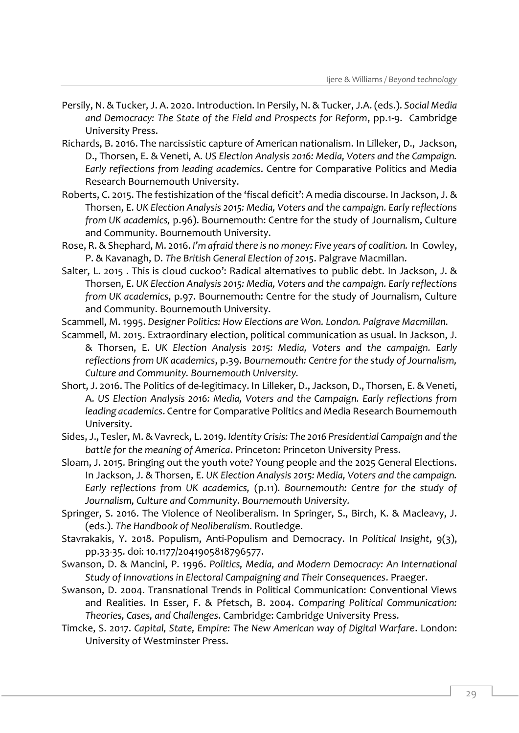- Persily, N. & Tucker, J. A. 2020. Introduction. In Persily, N. & Tucker, J.A. (eds.). *Social Media and Democracy: The State of the Field and Prospects for Reform*, pp.1-9. Cambridge University Press.
- Richards, B. 2016. The narcissistic capture of American nationalism. In Lilleker, D., Jackson, D., Thorsen, E. & Veneti, A. *US Election Analysis 2016: Media, Voters and the Campaign. Early reflections from leading academics*. Centre for Comparative Politics and Media Research Bournemouth University.
- Roberts, C. 2015. The festishization of the 'fiscal deficit': A media discourse. In Jackson, J. & Thorsen, E. *UK Election Analysis 2015: Media, Voters and the campaign. Early reflections from UK academics,* p.96). Bournemouth: Centre for the study of Journalism, Culture and Community. Bournemouth University.
- Rose, R. & Shephard, M. 2016. *I'm afraid there is no money: Five years of coalition.* In Cowley, P. & Kavanagh, D. *The British General Election of 2015*. Palgrave Macmillan.
- Salter, L. 2015 . This is cloud cuckoo': Radical alternatives to public debt. In Jackson, J. & Thorsen, E. *UK Election Analysis 2015: Media, Voters and the campaign. Early reflections from UK academics*, p.97. Bournemouth: Centre for the study of Journalism, Culture and Community. Bournemouth University.
- Scammell, M. 1995. *Designer Politics: How Elections are Won. London. Palgrave Macmillan.*
- Scammell, M. 2015. Extraordinary election, political communication as usual. In Jackson, J. & Thorsen, E. *UK Election Analysis 2015: Media, Voters and the campaign. Early reflections from UK academics*, p.39. *Bournemouth: Centre for the study of Journalism, Culture and Community. Bournemouth University.*
- Short, J. 2016. The Politics of de-legitimacy. In Lilleker, D., Jackson, D., Thorsen, E. & Veneti, A. *US Election Analysis 2016: Media, Voters and the Campaign. Early reflections from leading academics*. Centre for Comparative Politics and Media Research Bournemouth University.
- Sides, J., Tesler, M. & Vavreck, L. 2019. *Identity Crisis: The 2016 Presidential Campaign and the battle for the meaning of America*. Princeton: Princeton University Press.
- Sloam, J. 2015. Bringing out the youth vote? Young people and the 2025 General Elections. In Jackson, J. & Thorsen, E. *UK Election Analysis 2015: Media, Voters and the campaign. Early reflections from UK academics,* (p.11). *Bournemouth: Centre for the study of Journalism, Culture and Community. Bournemouth University.*
- Springer, S. 2016. The Violence of Neoliberalism. In Springer, S., Birch, K. & Macleavy, J. (eds.). *The Handbook of Neoliberalism*. Routledge.
- Stavrakakis, Y. 2018. Populism, Anti-Populism and Democracy. In *Political Insight*, 9(3), pp.33-35. doi: 10.1177/2041905818796577.
- Swanson, D. & Mancini, P. 1996. *Politics, Media, and Modern Democracy: An International Study of Innovations in Electoral Campaigning and Their Consequences*. Praeger.
- Swanson, D. 2004. Transnational Trends in Political Communication: Conventional Views and Realities. In Esser, F. & Pfetsch, B. 2004. *Comparing Political Communication: Theories, Cases, and Challenges*. Cambridge: Cambridge University Press.
- Timcke, S. 2017. *Capital, State, Empire: The New American way of Digital Warfare*. London: University of Westminster Press.